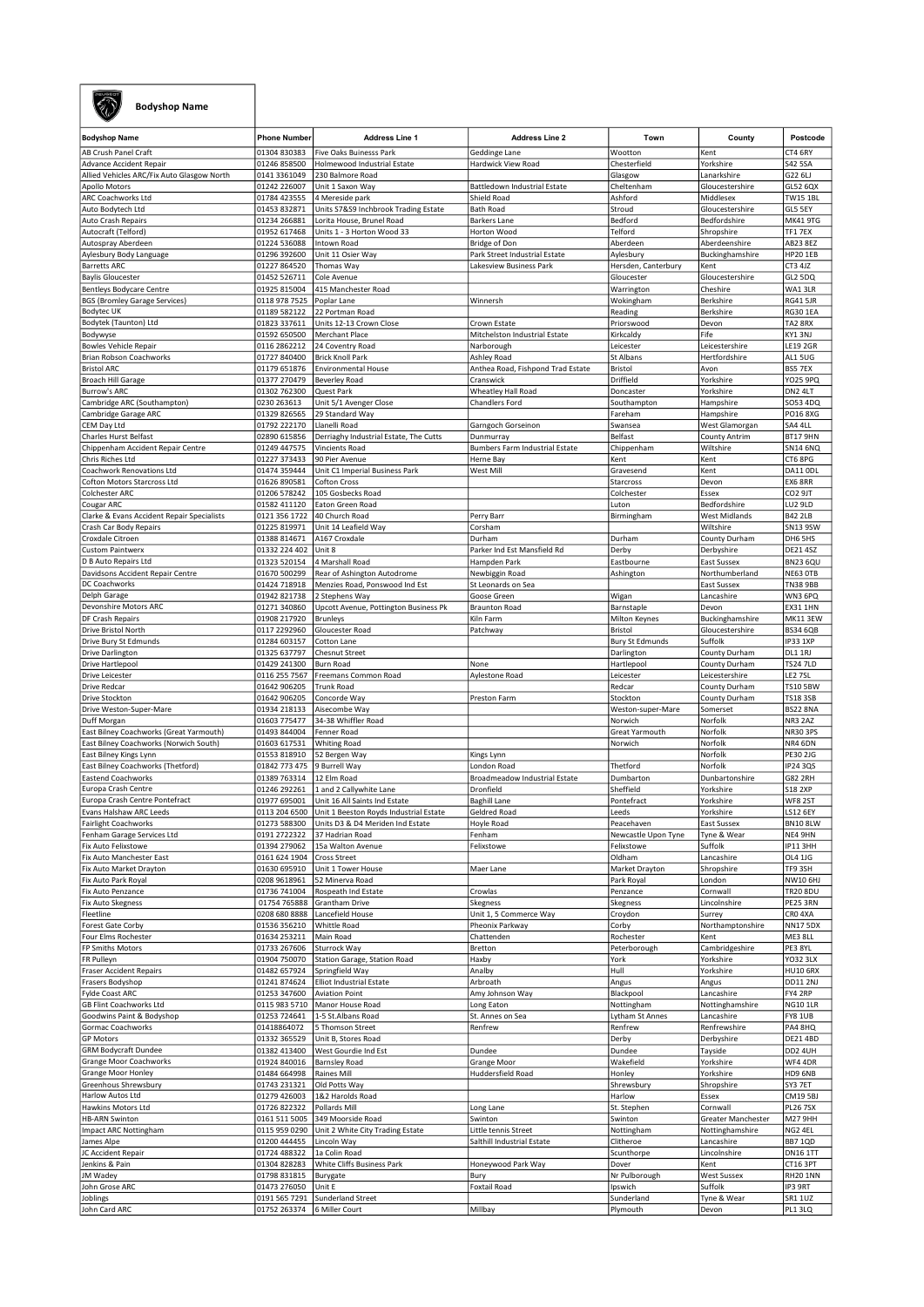

## Bodyshop Name

| <b>Bodyshop Name</b>                       | <b>Phone Number</b> | <b>Address Line 1</b>                  | <b>Address Line 2</b>             | Town                   | County               | Postcode            |
|--------------------------------------------|---------------------|----------------------------------------|-----------------------------------|------------------------|----------------------|---------------------|
|                                            |                     |                                        |                                   |                        |                      |                     |
| AB Crush Panel Craft                       | 01304 830383        | Five Oaks Buinesss Park                | Geddinge Lane                     | Wootton                | Kent                 | CT4 6RY             |
| Advance Accident Repair                    | 01246 858500        | Holmewood Industrial Estate            | Hardwick View Road                | Chesterfield           | Yorkshire            | <b>S42 5SA</b>      |
| Allied Vehicles ARC/Fix Auto Glasgow North | 0141 3361049        | 230 Balmore Road                       |                                   | Glasgow                | Lanarkshire          | G22 6LJ             |
| Apollo Motors                              | 01242 226007        | Unit 1 Saxon Way                       | Battledown Industrial Estate      | Cheltenham             | Gloucestershire      | GL52 6QX            |
| ARC Coachworks Ltd                         | 01784 423555        | 4 Mereside park                        | Shield Road                       | Ashford                | Middlesex            | TW15 1BL            |
| Auto Bodytech Ltd                          | 01453 832871        | Units S7&S9 Inchbrook Trading Estate   | <b>Bath Road</b>                  | Stroud                 | Gloucestershire      | GL5 5EY             |
| Auto Crash Repairs                         | 01234 266881        |                                        | <b>Barkers Lane</b>               | Bedford                | Bedfordshire         | <b>MK41 9TG</b>     |
|                                            |                     | Lorita House, Brunel Road              |                                   |                        |                      |                     |
| Autocraft (Telford)                        | 01952 617468        | Units 1 - 3 Horton Wood 33             | Horton Wood                       | Telford                | Shropshire           | TF1 7EX             |
| Autospray Aberdeen                         | 01224 536088        | Intown Road                            | Bridge of Don                     | Aberdeen               | Aberdeenshire        | AB23 8EZ            |
| Aylesbury Body Language                    | 01296 392600        | Unit 11 Osier Way                      | Park Street Industrial Estate     | Aylesbury              | Buckinghamshire      | <b>HP20 1EB</b>     |
| <b>Barretts ARC</b>                        | 01227 864520        | Thomas Way                             | Lakesview Business Park           | Hersden, Canterbury    | Kent                 | CT3 4JZ             |
| <b>Baylis Gloucester</b>                   | 01452 526711        | Cole Avenue                            |                                   | Gloucester             | Gloucestershire      | GL2 5DQ             |
|                                            |                     |                                        |                                   |                        |                      |                     |
| Bentleys Bodycare Centre                   | 01925 815004        | 415 Manchester Road                    |                                   | Warrington             | Cheshire             | WA1 3LR             |
| <b>BGS (Bromley Garage Services)</b>       | 0118 978 7525       | Poplar Lane                            | Winnersh                          | Wokingham              | Berkshire            | <b>RG41 5JR</b>     |
| Bodytec UK                                 | 01189 582122        | 22 Portman Road                        |                                   | Reading                | Berkshire            | <b>RG30 1EA</b>     |
| Bodytek (Taunton) Ltd                      | 01823 337611        | Units 12-13 Crown Close                | Crown Estate                      | Priorswood             | Devon                | TA2 8RX             |
| Bodywyse                                   | 01592 650500        | Merchant Place                         | Mitchelston Industrial Estate     | Kirkcaldy              | Fife                 | KY1 3NJ             |
| <b>Bowles Vehicle Repair</b>               | 0116 2862212        | 24 Coventry Road                       | Narborough                        | Leicester              | Leicestershire       | <b>LE19 2GR</b>     |
|                                            |                     |                                        |                                   |                        |                      |                     |
| Brian Robson Coachworks                    | 01727 840400        | <b>Brick Knoll Park</b>                | Ashley Road                       | St Albans              | Hertfordshire        | AL1 5UG             |
| <b>Bristol ARC</b>                         | 01179 651876        | <b>Environmental House</b>             | Anthea Road, Fishpond Trad Estate | Bristol                | Avon                 | <b>BS5 7EX</b>      |
| <b>Broach Hill Garage</b>                  | 01377 270479        | <b>Beverley Road</b>                   | Cranswick                         | Driffield              | Yorkshire            | <b>YO25 9PQ</b>     |
| Burrow's ARC                               | 01302 762300        | Quest Park                             | Wheatley Hall Road                | Doncaster              | Yorkshire            | DN2 4LT             |
| Cambridge ARC (Southampton)                | 0230 263613         | Unit 5/1 Avenger Close                 | Chandlers Ford                    | Southampton            | Hampshire            | SO53 4DQ            |
|                                            |                     |                                        |                                   |                        |                      |                     |
| Cambridge Garage ARC                       | 01329 826565        | 29 Standard Way                        |                                   | Fareham                | Hampshire            | PO16 8XG            |
| CEM Day Ltd                                | 01792 222170        | Llanelli Road                          | Garngoch Gorseinon                | Swansea                | West Glamorgan       | SA4 4LL             |
| Charles Hurst Belfast                      | 02890 615856        | Derriaghy Industrial Estate, The Cutts | Dunmurray                         | Belfast                | <b>County Antrim</b> | <b>BT17 9HN</b>     |
| Chippenham Accident Repair Centre          | 01249 447575        | Vincients Road                         | Bumbers Farm Industrial Estate    | Chippenham             | Wiltshire            | <b>SN14 6NQ</b>     |
| Chris Riches Ltd                           | 01227 373433        | 90 Pier Avenue                         | Herne Bay                         | Kent                   | Kent                 | CT6 8PG             |
| Coachwork Renovations Ltd                  | 01474 359444        | Unit C1 Imperial Business Park         | West Mill                         | Gravesend              | Kent                 | DA11 ODL            |
|                                            |                     |                                        |                                   |                        |                      |                     |
| Cofton Motors Starcross Ltd                | 01626 890581        | Cofton Cross                           |                                   | Starcross              | Devon                | EX6 8RR             |
| Colchester ARC                             | 01206 578242        | 105 Gosbecks Road                      |                                   | Colchester             | Essex                | CO <sub>2</sub> 9JT |
| Cougar ARC                                 | 01582 411120        | Eaton Green Road                       |                                   | Luton                  | Bedfordshire         | LU2 9LD             |
| Clarke & Evans Accident Repair Specialists | 0121 356 1722       | 40 Church Road                         | Perry Barr                        | Birmingham             | West Midlands        | <b>B42 2LB</b>      |
| Crash Car Body Repairs                     | 01225 819971        | Unit 14 Leafield Way                   | Corsham                           |                        | Wiltshire            | SN13 9SW            |
|                                            |                     |                                        |                                   |                        |                      |                     |
| Croxdale Citroen                           | 01388 814671        | A167 Croxdale                          | Durham                            | Durham                 | County Durham        | DH6 5HS             |
| <b>Custom Paintwerx</b>                    | 01332 224 402       | Unit 8                                 | Parker Ind Est Mansfield Rd       | Derby                  | Derbyshire           | <b>DE21 4SZ</b>     |
| D B Auto Repairs Ltd                       | 01323 520154        | 4 Marshall Road                        | Hampden Park                      | Eastbourne             | East Sussex          | <b>BN23 6QU</b>     |
| Davidsons Accident Repair Centre           | 01670 500299        | Rear of Ashington Autodrome            | Newbiggin Road                    | Ashington              | Northumberland       | <b>NE63 OTB</b>     |
| DC Coachworks                              | 01424 718918        | Menzies Road, Ponswood Ind Est         | St Leonards on Sea                |                        | East Sussex          | <b>TN38 9BB</b>     |
| Delph Garage                               | 01942 821738        |                                        | Goose Green                       |                        |                      | WN3 6PQ             |
|                                            |                     | 2 Stephens Way                         |                                   | Wigan                  | Lancashire           |                     |
| Devonshire Motors ARC                      | 01271 340860        | Upcott Avenue, Pottington Business Pk  | <b>Braunton Road</b>              | Barnstaple             | Devon                | <b>EX31 1HN</b>     |
| DF Crash Repairs                           | 01908 217920        | <b>Brunleys</b>                        | Kiln Farm                         | Milton Keynes          | Buckinghamshire      | <b>MK11 3EW</b>     |
| Drive Bristol North                        | 0117 2292960        | Gloucester Road                        | Patchway                          | Bristol                | Gloucestershire      | <b>BS34 6QB</b>     |
| Drive Bury St Edmunds                      | 01284 603157        | Cotton Lane                            |                                   | <b>Bury St Edmunds</b> | Suffolk              | <b>IP33 1XP</b>     |
| Drive Darlington                           | 01325 637797        | <b>Chesnut Street</b>                  |                                   | Darlington             | County Durham        | DL1 1RJ             |
|                                            |                     |                                        |                                   |                        |                      |                     |
| Drive Hartlepool                           | 01429 241300        | <b>Burn Road</b>                       | None                              | Hartlepool             | County Durham        | <b>TS24 7LD</b>     |
| Drive Leicester                            | 0116 255 7567       | Freemans Common Road                   | Aylestone Road                    | Leicester              | Leicestershire       | LE2 7SL             |
| Drive Redcar                               | 01642 906205        | <b>Trunk Road</b>                      |                                   | Redcar                 | County Durham        | <b>TS10 5BW</b>     |
| Drive Stockton                             | 01642 906205        | Concorde Way                           | Preston Farm                      | Stockton               | County Durham        | <b>TS18 3SB</b>     |
| Drive Weston-Super-Mare                    | 01934 218133        | Aisecombe Way                          |                                   | Weston-super-Mare      | Somerset             | <b>BS22 8NA</b>     |
| Duff Morgan                                | 01603 775477        | 34-38 Whiffler Road                    |                                   | Norwich                | Norfolk              | NR3 2AZ             |
|                                            |                     |                                        |                                   | <b>Great Yarmouth</b>  |                      | NR30 3PS            |
| East Bilney Coachworks (Great Yarmouth)    | 01493 844004        | Fenner Road                            |                                   |                        | Norfolk              |                     |
| East Bilney Coachworks (Norwich South)     | 01603 617531        | <b>Whiting Road</b>                    |                                   | Norwich                | Norfolk              | NR4 6DN             |
| East Bilney Kings Lynn                     | 01553 818910        | 52 Bergen Way                          | Kings Lynn                        |                        | Norfolk              | PE30 2JG            |
| East Bilney Coachworks (Thetford)          | 01842 773 475       | 9 Burrell Way                          | London Road                       | Thetford               | Norfolk              | IP24 3QS            |
| <b>Eastend Coachworks</b>                  | 01389 763314        | 12 Elm Road                            | Broadmeadow Industrial Estate     | Dumbarton              | Dunbartonshire       | <b>G82 2RH</b>      |
| Europa Crash Centre                        | 01246 292261        | 1 and 2 Callywhite Lane                | Dronfield                         | Sheffield              | Yorkshire            | <b>S18 2XP</b>      |
|                                            |                     |                                        |                                   |                        |                      |                     |
| Europa Crash Centre Pontefract             | 01977 695001        | Unit 16 All Saints Ind Estate          | <b>Baghill Lane</b>               | Pontefract             | Yorkshire            | <b>WF8 2ST</b>      |
| Evans Halshaw ARC Leeds                    | 0113 204 6500       | Unit 1 Beeston Royds Industrial Estate | Geldred Road                      | Leeds                  | Yorkshire            | LS12 6EY            |
| <b>Fairlight Coachworks</b>                | 01273 588300        | Units D3 & D4 Meriden Ind Estate       | Hoyle Road                        | Peacehaven             | East Sussex          | <b>BN10 8LW</b>     |
| Fenham Garage Services Ltd                 | 0191 2722322        | 37 Hadrian Road                        | Fenham                            | Newcastle Upon Tyne    | Tyne & Wear          | NE4 9HN             |
| Fix Auto Felixstowe                        | 01394 279062        | 15a Walton Avenue                      | Felixstowe                        | Felixstowe             | Suffolk              | <b>IP113HH</b>      |
|                                            |                     |                                        |                                   |                        |                      |                     |
| Fix Auto Manchester East                   | 0161 624 1904       | <b>Cross Street</b>                    |                                   | Oldham                 | Lancashire           | OL4 1JG             |
| Fix Auto Market Drayton                    | 01630 695910        | Unit 1 Tower House                     | Maer Lane                         | Market Drayton         | Shropshire           | TF9 3SH             |
| Fix Auto Park Royal                        | 0208 9618961        | 52 Minerva Road                        |                                   | Park Royal             | London               | NW10 6HJ            |
| Fix Auto Penzance                          | 01736 741004        | Rospeath Ind Estate                    | Crowlas                           | Penzance               | Cornwall             | <b>TR20 8DU</b>     |
| Fix Auto Skegness                          | 01754 765888        | <b>Grantham Drive</b>                  | Skegness                          | Skegness               | Lincolnshire         | PE25 3RN            |
| Fleetline                                  | 0208 680 8888       | Lancefield House                       | Unit 1, 5 Commerce Way            | Croydon                | Surrey               | CRO 4XA             |
| Forest Gate Corby                          | 01536 356210        | <b>Whittle Road</b>                    | Pheonix Parkway                   | Corby                  | Northamptonshire     | <b>NN175DX</b>      |
|                                            |                     |                                        |                                   |                        |                      |                     |
| Four Elms Rochester                        | 01634 253211        | Main Road                              | Chattenden                        | Rochester              | Kent                 | ME3 8LL             |
| FP Smiths Motors                           | 01733 267606        | Sturrock Way                           | Bretton                           | Peterborough           | Cambridgeshire       | PE3 8YL             |
| FR Pulleyn                                 | 01904 750070        | Station Garage, Station Road           | Haxby                             | York                   | Yorkshire            | <b>YO32 3LX</b>     |
| <b>Fraser Accident Repairs</b>             | 01482 657924        | Springfield Way                        | Analby                            | Hull                   | Yorkshire            | <b>HU10 6RX</b>     |
| Frasers Bodyshop                           | 01241 874624        | <b>Elliot Industrial Estate</b>        | Arbroath                          | Angus                  | Angus                | <b>DD11 2NJ</b>     |
| Fylde Coast ARC                            |                     | <b>Aviation Point</b>                  |                                   | Blackpool              | Lancashire           | FY4 2RP             |
|                                            | 01253 347600        |                                        | Amy Johnson Way                   |                        |                      |                     |
| <b>GB Flint Coachworks Ltd</b>             | 0115 983 5710       | Manor House Road                       | Long Eaton                        | Nottingham             | Nottinghamshire      | <b>NG101LR</b>      |
| Goodwins Paint & Bodyshop                  | 01253 724641        | 1-5 St.Albans Road                     | St. Annes on Sea                  | Lytham St Annes        | Lancashire           | FY8 1UB             |
| Gormac Coachworks                          | 01418864072         | 5 Thomson Street                       | Renfrew                           | Renfrew                | Renfrewshire         | PA4 8HQ             |
| <b>GP Motors</b>                           | 01332 365529        | Unit B, Stores Road                    |                                   | Derby                  | Derbyshire           | <b>DE21 4BD</b>     |
| <b>GRM Bodycraft Dundee</b>                | 01382 413400        | West Gourdie Ind Est                   | Dundee                            | Dundee                 | Tayside              | DD2 4UH             |
|                                            |                     |                                        |                                   |                        |                      |                     |
| <b>Grange Moor Coachworks</b>              | 01924 840016        | <b>Barnsley Road</b>                   | Grange Moor                       | Wakefield              | Yorkshire            | WF4 4DR             |
| Grange Moor Honley                         | 01484 664998        | Raines Mill                            | Huddersfield Road                 | Honley                 | Yorkshire            | HD9 6NB             |
| Greenhous Shrewsbury                       | 01743 231321        | Old Potts Way                          |                                   | Shrewsbury             | Shropshire           | SY3 7ET             |
| <b>Harlow Autos Ltd</b>                    | 01279 426003        | 1&2 Harolds Road                       |                                   | Harlow                 | Essex                | CM19 5BJ            |
| Hawkins Motors Ltd                         | 01726 822322        | Pollards Mill                          | Long Lane                         | St. Stephen            | Cornwall             | <b>PL26 7SX</b>     |
| <b>HB-ARN Swinton</b>                      |                     |                                        |                                   |                        |                      |                     |
|                                            | 0161 511 5005       | 349 Moorside Road                      | Swinton                           | Swinton                | Greater Manchester   | M27 9HH             |
| Impact ARC Nottingham                      | 0115 959 0290       | Unit 2 White City Trading Estate       | Little tennis Street              | Nottingham             | Nottinghamshire      | NG2 4EL             |
| James Alpe                                 | 01200 444455        | Lincoln Way                            | Salthill Industrial Estate        | Clitheroe              | Lancashire           | <b>BB7 1QD</b>      |
| JC Accident Repair                         | 01724 488322        | 1a Colin Road                          |                                   | Scunthorpe             | Lincolnshire         | <b>DN16 1TT</b>     |
| Jenkins & Pain                             | 01304 828283        | White Cliffs Business Park             | Honeywood Park Way                | Dover                  | Kent                 | CT16 3PT            |
| JM Wadey                                   | 01798 831815        | Burygate                               | Bury                              | Nr Pulborough          | West Sussex          | <b>RH20 1NN</b>     |
| John Grose ARC                             |                     |                                        |                                   |                        | Suffolk              |                     |
|                                            | 01473 276050        | Unit E                                 | Foxtail Road                      | Ipswich                |                      | IP3 9RT             |
| Joblings                                   | 0191 565 7291       | <b>Sunderland Street</b>               |                                   | Sunderland             | Tyne & Wear          | <b>SR1 1UZ</b>      |
| John Card ARC                              | 01752 263374        | 6 Miller Court                         | Millbay                           | Plymouth               | Devon                | PL1 3LQ             |